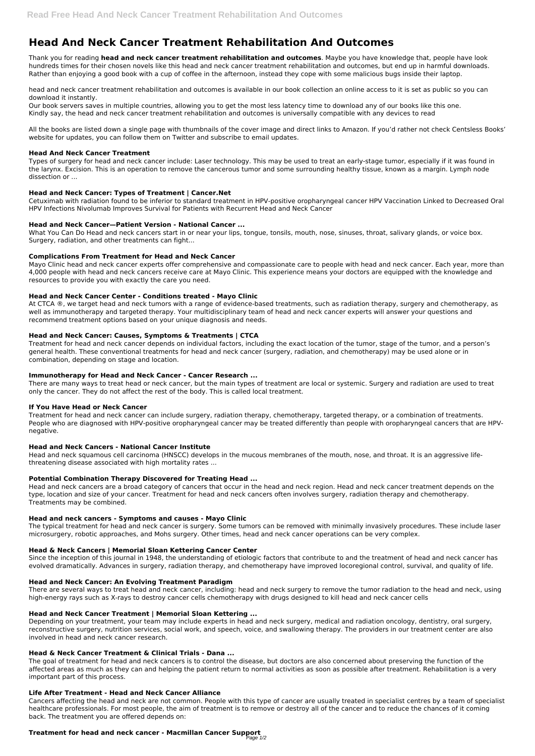# **Head And Neck Cancer Treatment Rehabilitation And Outcomes**

Thank you for reading **head and neck cancer treatment rehabilitation and outcomes**. Maybe you have knowledge that, people have look hundreds times for their chosen novels like this head and neck cancer treatment rehabilitation and outcomes, but end up in harmful downloads. Rather than enjoying a good book with a cup of coffee in the afternoon, instead they cope with some malicious bugs inside their laptop.

head and neck cancer treatment rehabilitation and outcomes is available in our book collection an online access to it is set as public so you can download it instantly.

Our book servers saves in multiple countries, allowing you to get the most less latency time to download any of our books like this one. Kindly say, the head and neck cancer treatment rehabilitation and outcomes is universally compatible with any devices to read

What You Can Do Head and neck cancers start in or near your lips, tongue, tonsils, mouth, nose, sinuses, throat, salivary glands, or voice box. Surgery, radiation, and other treatments can fight...

All the books are listed down a single page with thumbnails of the cover image and direct links to Amazon. If you'd rather not check Centsless Books' website for updates, you can follow them on Twitter and subscribe to email updates.

### **Head And Neck Cancer Treatment**

Types of surgery for head and neck cancer include: Laser technology. This may be used to treat an early-stage tumor, especially if it was found in the larynx. Excision. This is an operation to remove the cancerous tumor and some surrounding healthy tissue, known as a margin. Lymph node dissection or ...

# **Head and Neck Cancer: Types of Treatment | Cancer.Net**

Cetuximab with radiation found to be inferior to standard treatment in HPV-positive oropharyngeal cancer HPV Vaccination Linked to Decreased Oral HPV Infections Nivolumab Improves Survival for Patients with Recurrent Head and Neck Cancer

# **Head and Neck Cancer—Patient Version - National Cancer ...**

# **Complications From Treatment for Head and Neck Cancer**

Mayo Clinic head and neck cancer experts offer comprehensive and compassionate care to people with head and neck cancer. Each year, more than 4,000 people with head and neck cancers receive care at Mayo Clinic. This experience means your doctors are equipped with the knowledge and resources to provide you with exactly the care you need.

# **Head and Neck Cancer Center - Conditions treated - Mayo Clinic**

At CTCA ®, we target head and neck tumors with a range of evidence-based treatments, such as radiation therapy, surgery and chemotherapy, as well as immunotherapy and targeted therapy. Your multidisciplinary team of head and neck cancer experts will answer your questions and recommend treatment options based on your unique diagnosis and needs.

# **Head and Neck Cancer: Causes, Symptoms & Treatments | CTCA**

Treatment for head and neck cancer depends on individual factors, including the exact location of the tumor, stage of the tumor, and a person's general health. These conventional treatments for head and neck cancer (surgery, radiation, and chemotherapy) may be used alone or in combination, depending on stage and location.

### **Immunotherapy for Head and Neck Cancer - Cancer Research ...**

#### **Treatment for head and neck cancer - Macmillan Cancer Support** Page 1/2

There are many ways to treat head or neck cancer, but the main types of treatment are local or systemic. Surgery and radiation are used to treat only the cancer. They do not affect the rest of the body. This is called local treatment.

# **If You Have Head or Neck Cancer**

Treatment for head and neck cancer can include surgery, radiation therapy, chemotherapy, targeted therapy, or a combination of treatments. People who are diagnosed with HPV-positive oropharyngeal cancer may be treated differently than people with oropharyngeal cancers that are HPVnegative.

### **Head and Neck Cancers - National Cancer Institute**

Head and neck squamous cell carcinoma (HNSCC) develops in the mucous membranes of the mouth, nose, and throat. It is an aggressive lifethreatening disease associated with high mortality rates ...

### **Potential Combination Therapy Discovered for Treating Head ...**

Head and neck cancers are a broad category of cancers that occur in the head and neck region. Head and neck cancer treatment depends on the type, location and size of your cancer. Treatment for head and neck cancers often involves surgery, radiation therapy and chemotherapy. Treatments may be combined.

### **Head and neck cancers - Symptoms and causes - Mayo Clinic**

The typical treatment for head and neck cancer is surgery. Some tumors can be removed with minimally invasively procedures. These include laser microsurgery, robotic approaches, and Mohs surgery. Other times, head and neck cancer operations can be very complex.

# **Head & Neck Cancers | Memorial Sloan Kettering Cancer Center**

Since the inception of this journal in 1948, the understanding of etiologic factors that contribute to and the treatment of head and neck cancer has evolved dramatically. Advances in surgery, radiation therapy, and chemotherapy have improved locoregional control, survival, and quality of life.

#### **Head and Neck Cancer: An Evolving Treatment Paradigm**

There are several ways to treat head and neck cancer, including: head and neck surgery to remove the tumor radiation to the head and neck, using high-energy rays such as X-rays to destroy cancer cells chemotherapy with drugs designed to kill head and neck cancer cells

#### **Head and Neck Cancer Treatment | Memorial Sloan Kettering ...**

Depending on your treatment, your team may include experts in head and neck surgery, medical and radiation oncology, dentistry, oral surgery, reconstructive surgery, nutrition services, social work, and speech, voice, and swallowing therapy. The providers in our treatment center are also involved in head and neck cancer research.

#### **Head & Neck Cancer Treatment & Clinical Trials - Dana ...**

The goal of treatment for head and neck cancers is to control the disease, but doctors are also concerned about preserving the function of the affected areas as much as they can and helping the patient return to normal activities as soon as possible after treatment. Rehabilitation is a very important part of this process.

#### **Life After Treatment - Head and Neck Cancer Alliance**

Cancers affecting the head and neck are not common. People with this type of cancer are usually treated in specialist centres by a team of specialist healthcare professionals. For most people, the aim of treatment is to remove or destroy all of the cancer and to reduce the chances of it coming back. The treatment you are offered depends on: